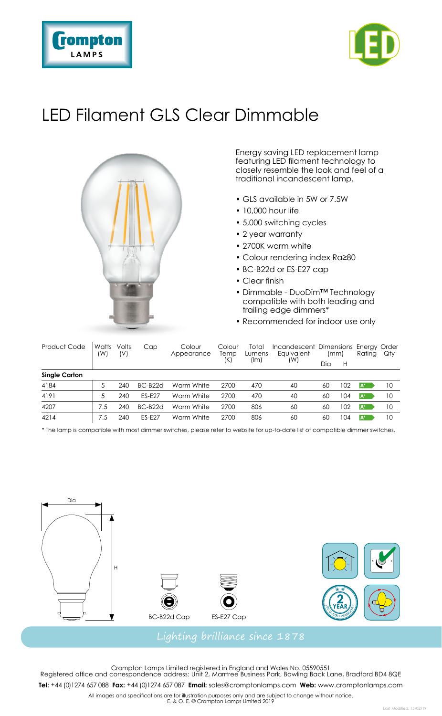



## LED Filament GLS Clear Dimmable



Energy saving LED replacement lamp featuring LED filament technology to closely resemble the look and feel of a traditional incandescent lamp.

- GLS available in 5W or 7.5W
- 10,000 hour life
- 5,000 switching cycles
- 2 year warranty
- 2700K warm white
- Colour rendering index Ra≥80
- BC-B22d or ES-E27 cap
- Clear finish
- Dimmable DuoDim™ Technology compatible with both leading and trailing edge dimmers\*
- Recommended for indoor use only

| Product Code         | Watts<br>(W) | Volts<br>(V) | Cap           | Colour<br>Appearance | Colour<br>Temp<br>(K) | Total<br>Lumens<br>(Im) | Incandescent Dimensions Energy Order<br>Eauivalent<br>(W) | (mm) |     | Rating                | Qty |
|----------------------|--------------|--------------|---------------|----------------------|-----------------------|-------------------------|-----------------------------------------------------------|------|-----|-----------------------|-----|
|                      |              |              |               |                      |                       |                         |                                                           | Dia  | н   |                       |     |
| <b>Single Carton</b> |              |              |               |                      |                       |                         |                                                           |      |     |                       |     |
| 4184                 | 5            | 240          | $BC-B22d$     | Warm White           | 2700                  | 470                     | 40                                                        | 60   | 102 | l A*                  | 10  |
| 4191                 | 5            | 240          | <b>FS-F27</b> | Warm White           | 2700                  | 470                     | 40                                                        | 60   | 104 | <b>A</b> <sup>+</sup> | 10  |
| 4207                 | 7.5          | 240          | $BC-B22d$     | Warm White           | 2700                  | 806                     | 60                                                        | 60   | 102 | l A*                  | 10  |
| 4214                 | 7.5          | 240          | <b>FS-F27</b> | Warm White           | 2700                  | 806                     | 60                                                        | 60   | 104 | <b>A</b>              | 10  |

\* The lamp is compatible with most dimmer switches, please refer to website for up-to-date list of compatible dimmer switches.



Crompton Lamps Limited registered in England and Wales No. 05590551 Registered office and correspondence address: Unit 2, Marrtree Business Park, Bowling Back Lane, Bradford BD4 8QE

**Tel:** +44 (0)1274 657 088 **Fax:** +44 (0)1274 657 087 **Email:** sales@cromptonlamps.com **Web:** www.cromptonlamps.com

All images and specifications are for illustration purposes only and are subject to change without notice. E. & O. E. © Crompton Lamps Limited 2019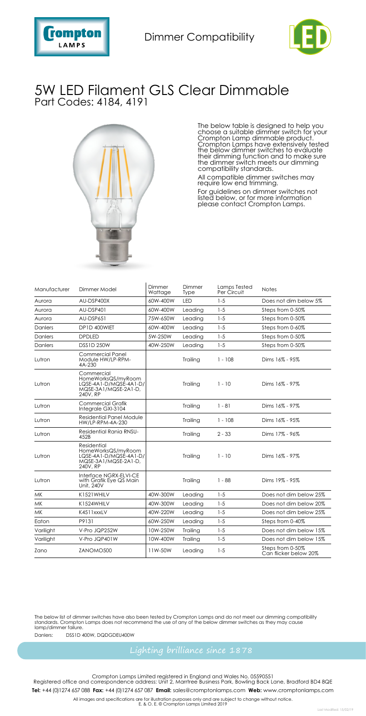



## 5W LED Filament GLS Clear Dimmable Part Codes: 4184, 4191



The below table is designed to help you choose a suitable dimmer switch for your Crompton Lamp dimmable product. Crompton Lamps have extensively tested the below dimmer switches to evaluate their dimming function and to make sure the dimmer switch meets our dimming compatibility standards.

All compatible dimmer switches may require low end trimming.

For guidelines on dimmer switches not listed below, or for more information please contact Crompton Lamps.

| Manufacturer | Dimmer Model                                                                                    |          | Dimmer<br>Type | <b>Lamps Tested</b><br>Per Circuit | <b>Notes</b>                              |
|--------------|-------------------------------------------------------------------------------------------------|----------|----------------|------------------------------------|-------------------------------------------|
| Aurora       | AU-DSP400X                                                                                      | 60W-400W | <b>IFD</b>     | $1 - 5$                            | Does not dim below 5%                     |
| Aurora       | AU-DSP401                                                                                       | 60W-400W | Leading        | $1 - 5$                            | Steps from 0-50%                          |
| Aurora       | AU-DSP651                                                                                       | 75W-650W | Leading        | $1 - 5$                            | Steps from 0-50%                          |
| Danlers      | DP1D 400WIET                                                                                    | 60W-400W | Leading        | $1 - 5$                            | Steps from 0-60%                          |
| Danlers      | <b>DPDLED</b>                                                                                   | 5W-250W  | Leading        | $1 - 5$                            | Steps from 0-50%                          |
| Danlers      | <b>DSS1D 250W</b>                                                                               | 40W-250W | Leading        | $1 - 5$                            | Steps from 0-50%                          |
| Lutron       | Commercial Panel<br>Module HW/LP-RPM-<br>4A-230                                                 |          | Trailing       | $1 - 108$                          | Dims 16% - 95%                            |
| Lutron       | Commercial<br>HomeWorksQS/myRoom<br>LQSE-4A1-D/MQSE-4A1-D/<br>MQSE-3A1/MQSE-2A1-D,<br>240V, RP  |          | Trailing       | $1 - 10$                           | Dims 16% - 97%                            |
| Lutron       | <b>Commercial Grafik</b><br>Integrale GXI-3104                                                  |          | Trailing       | $1 - 81$                           | Dims 16% - 97%                            |
| Lutron       | Residential Panel Module<br>HW/LP-RPM-4A-230                                                    |          | Trailing       | $1 - 108$                          | Dims 16% - 95%                            |
| Lutron       | Residential Rania RNSU-<br>452B                                                                 |          | Trailing       | $2 - 33$                           | Dims 17% - 96%                            |
| Lutron       | Residential<br>HomeWorksQS/mvRoom<br>LQSE-4A1-D/MQSE-4A1-D/<br>MQSE-3A1/MQSE-2A1-D,<br>240V, RP |          | Trailing       | $1 - 10$                           | Dims 16% - 97%                            |
| Lutron       | Interface NGRX-ELVI-CE<br>with Grafik Eye QS Main<br>Unit, 240V                                 |          | Trailing       | $1 - 88$                           | Dims 19% - 95%                            |
| <b>MK</b>    | K1521WHILV                                                                                      | 40W-300W | Leading        | $1 - 5$                            | Does not dim below 25%                    |
| <b>MK</b>    | K1524WHII V                                                                                     | 40W-300W | Leading        | $1 - 5$                            | Does not dim below 20%                    |
| <b>MK</b>    | K4511xxxLV                                                                                      | 40W-220W | Leading        | $1 - 5$                            | Does not dim below 25%                    |
| Eaton        | P9131                                                                                           | 60W-250W | Leading        | $1 - 5$                            | Steps from 0-40%                          |
| Varilight    | V-Pro JQP252W                                                                                   | 10W-250W | Trailing       | $1 - 5$                            | Does not dim below 15%                    |
| Varilight    | V-Pro JQP401W                                                                                   | 10W-400W | Trailing       | $1 - 5$                            | Does not dim below 15%                    |
| Zano         | ZANOMO500                                                                                       | 11W-50W  | Leading        | $1 - 5$                            | Steps from 0-50%<br>Can flicker below 20% |

The below list of dimmer switches have also been tested by Crompton Lamps and do not meet our dimming compatibility<br>standards. Crompton Lamps does not recommend the use of any of the below dimmer switches as they may cause

Danlers: DSS1D 400W, DQDGDEU400W

Crompton Lamps Limited registered in England and Wales No. 05590551 Registered office and correspondence address: Unit 2, Marrtree Business Park, Bowling Back Lane, Bradford BD4 8QE

**Tel:** +44 (0)1274 657 088 **Fax:** +44 (0)1274 657 087 **Email:** sales@cromptonlamps.com **Web:** www.cromptonlamps.com

All images and specifications are for illustration purposes only and are subject to change without notice. E. & O. E. © Crompton Lamps Limited 2019